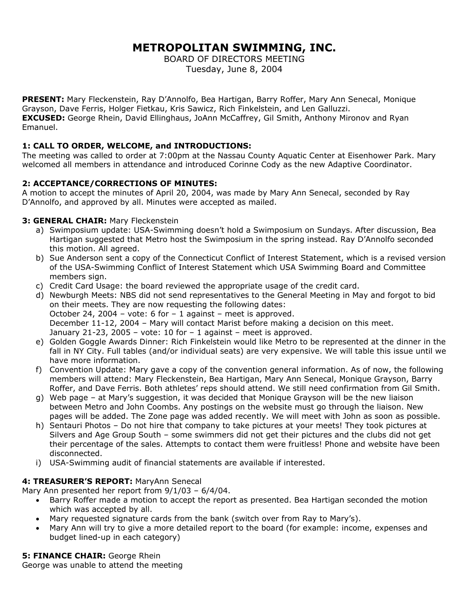# **METROPOLITAN SWIMMING, INC.**

BOARD OF DIRECTORS MEETING Tuesday, June 8, 2004

**PRESENT:** Mary Fleckenstein, Ray D'Annolfo, Bea Hartigan, Barry Roffer, Mary Ann Senecal, Monique Grayson, Dave Ferris, Holger Fietkau, Kris Sawicz, Rich Finkelstein, and Len Galluzzi. **EXCUSED:** George Rhein, David Ellinghaus, JoAnn McCaffrey, Gil Smith, Anthony Mironov and Ryan Emanuel.

# **1: CALL TO ORDER, WELCOME, and INTRODUCTIONS:**

The meeting was called to order at 7:00pm at the Nassau County Aquatic Center at Eisenhower Park. Mary welcomed all members in attendance and introduced Corinne Cody as the new Adaptive Coordinator.

# **2: ACCEPTANCE/CORRECTIONS OF MINUTES:**

A motion to accept the minutes of April 20, 2004, was made by Mary Ann Senecal, seconded by Ray D'Annolfo, and approved by all. Minutes were accepted as mailed.

# **3: GENERAL CHAIR:** Mary Fleckenstein

- a) Swimposium update: USA-Swimming doesn't hold a Swimposium on Sundays. After discussion, Bea Hartigan suggested that Metro host the Swimposium in the spring instead. Ray D'Annolfo seconded this motion. All agreed.
- b) Sue Anderson sent a copy of the Connecticut Conflict of Interest Statement, which is a revised version of the USA-Swimming Conflict of Interest Statement which USA Swimming Board and Committee members sign.
- c) Credit Card Usage: the board reviewed the appropriate usage of the credit card.
- d) Newburgh Meets: NBS did not send representatives to the General Meeting in May and forgot to bid on their meets. They are now requesting the following dates: October 24, 2004 – vote: 6 for – 1 against – meet is approved. December 11-12, 2004 – Mary will contact Marist before making a decision on this meet. January 21-23, 2005 – vote: 10 for  $-1$  against – meet is approved.
- e) Golden Goggle Awards Dinner: Rich Finkelstein would like Metro to be represented at the dinner in the fall in NY City. Full tables (and/or individual seats) are very expensive. We will table this issue until we have more information.
- f) Convention Update: Mary gave a copy of the convention general information. As of now, the following members will attend: Mary Fleckenstein, Bea Hartigan, Mary Ann Senecal, Monique Grayson, Barry Roffer, and Dave Ferris. Both athletes' reps should attend. We still need confirmation from Gil Smith.
- g) Web page at Mary's suggestion, it was decided that Monique Grayson will be the new liaison between Metro and John Coombs. Any postings on the website must go through the liaison. New pages will be added. The Zone page was added recently. We will meet with John as soon as possible.
- h) Sentauri Photos Do not hire that company to take pictures at your meets! They took pictures at Silvers and Age Group South – some swimmers did not get their pictures and the clubs did not get their percentage of the sales. Attempts to contact them were fruitless! Phone and website have been disconnected.
- i) USA-Swimming audit of financial statements are available if interested.

# **4: TREASURER'S REPORT:** MaryAnn Senecal

Mary Ann presented her report from 9/1/03 – 6/4/04.

- Barry Roffer made a motion to accept the report as presented. Bea Hartigan seconded the motion which was accepted by all.
- Mary requested signature cards from the bank (switch over from Ray to Mary's).
- Mary Ann will try to give a more detailed report to the board (for example: income, expenses and budget lined-up in each category)

**5: FINANCE CHAIR: George Rhein** 

George was unable to attend the meeting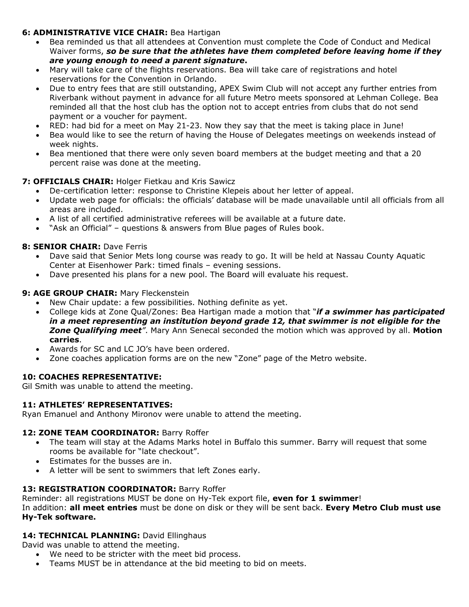# **6: ADMINISTRATIVE VICE CHAIR:** Bea Hartigan

- Bea reminded us that all attendees at Convention must complete the Code of Conduct and Medical Waiver forms, *so be sure that the athletes have them completed before leaving home if they are young enough to need a parent signature***.**
- Mary will take care of the flights reservations. Bea will take care of registrations and hotel reservations for the Convention in Orlando.
- Due to entry fees that are still outstanding, APEX Swim Club will not accept any further entries from Riverbank without payment in advance for all future Metro meets sponsored at Lehman College. Bea reminded all that the host club has the option not to accept entries from clubs that do not send payment or a voucher for payment.
- RED: had bid for a meet on May 21-23. Now they say that the meet is taking place in June!
- Bea would like to see the return of having the House of Delegates meetings on weekends instead of week nights.
- Bea mentioned that there were only seven board members at the budget meeting and that a 20 percent raise was done at the meeting.

# **7: OFFICIALS CHAIR:** Holger Fietkau and Kris Sawicz

- De-certification letter: response to Christine Klepeis about her letter of appeal.
- Update web page for officials: the officials' database will be made unavailable until all officials from all areas are included.
- A list of all certified administrative referees will be available at a future date.
- "Ask an Official" questions & answers from Blue pages of Rules book.

## **8: SENIOR CHAIR: Dave Ferris**

- Dave said that Senior Mets long course was ready to go. It will be held at Nassau County Aquatic Center at Eisenhower Park: timed finals – evening sessions.
- Dave presented his plans for a new pool. The Board will evaluate his request.

## **9: AGE GROUP CHAIR: Mary Fleckenstein**

- New Chair update: a few possibilities. Nothing definite as yet.
- College kids at Zone Qual/Zones: Bea Hartigan made a motion that "*if a swimmer has participated in a meet representing an institution beyond grade 12, that swimmer is not eligible for the Zone Qualifying meet"*. Mary Ann Senecal seconded the motion which was approved by all. **Motion carries**.
- Awards for SC and LC JO's have been ordered.
- Zone coaches application forms are on the new "Zone" page of the Metro website.

## **10: COACHES REPRESENTATIVE:**

Gil Smith was unable to attend the meeting.

## **11: ATHLETES' REPRESENTATIVES:**

Ryan Emanuel and Anthony Mironov were unable to attend the meeting.

## 12: **ZONE TEAM COORDINATOR: Barry Roffer**

- The team will stay at the Adams Marks hotel in Buffalo this summer. Barry will request that some rooms be available for "late checkout".
- Estimates for the busses are in.
- A letter will be sent to swimmers that left Zones early.

## 13: REGISTRATION COORDINATOR: Barry Roffer

Reminder: all registrations MUST be done on Hy-Tek export file, **even for 1 swimmer**!

In addition: **all meet entries** must be done on disk or they will be sent back. **Every Metro Club must use Hy-Tek software.**

## 14: TECHNICAL PLANNING: David Ellinghaus

David was unable to attend the meeting.

- We need to be stricter with the meet bid process.
- Teams MUST be in attendance at the bid meeting to bid on meets.